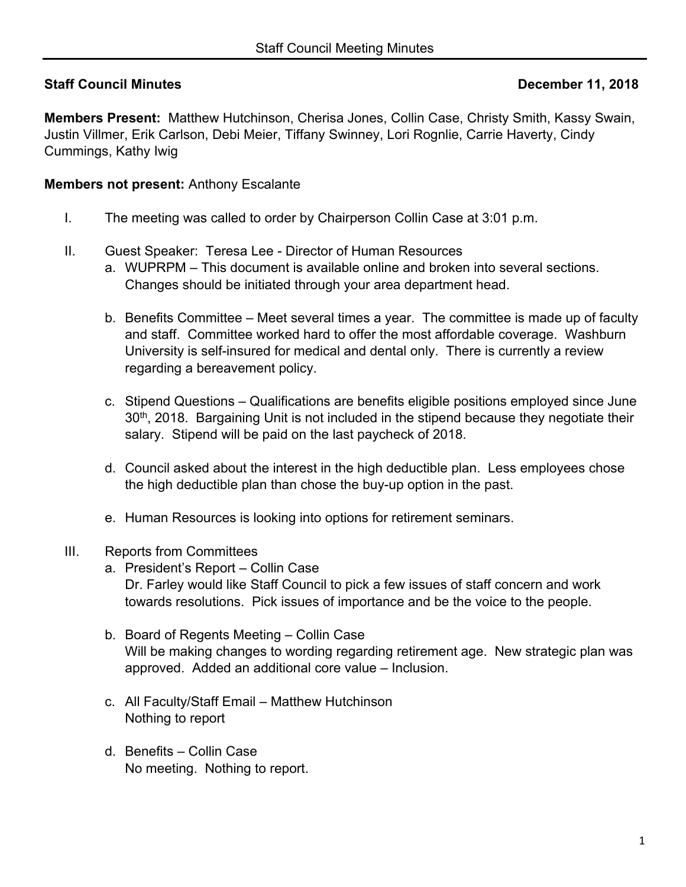# **Staff Council Minutes December 11, 2018**

**Members Present:** Matthew Hutchinson, Cherisa Jones, Collin Case, Christy Smith, Kassy Swain, Justin Villmer, Erik Carlson, Debi Meier, Tiffany Swinney, Lori Rognlie, Carrie Haverty, Cindy Cummings, Kathy Iwig

#### **Members not present:** Anthony Escalante

- I. The meeting was called to order by Chairperson Collin Case at 3:01 p.m.
- II. Guest Speaker: Teresa Lee Director of Human Resources
	- a. WUPRPM This document is available online and broken into several sections. Changes should be initiated through your area department head.
	- b. Benefits Committee Meet several times a year. The committee is made up of faculty and staff. Committee worked hard to offer the most affordable coverage. Washburn University is self-insured for medical and dental only. There is currently a review regarding a bereavement policy.
	- c. Stipend Questions Qualifications are benefits eligible positions employed since June 30<sup>th</sup>, 2018. Bargaining Unit is not included in the stipend because they negotiate their salary. Stipend will be paid on the last paycheck of 2018.
	- d. Council asked about the interest in the high deductible plan. Less employees chose the high deductible plan than chose the buy-up option in the past.
	- e. Human Resources is looking into options for retirement seminars.

#### III. Reports from Committees

- a. President's Report Collin Case Dr. Farley would like Staff Council to pick a few issues of staff concern and work towards resolutions. Pick issues of importance and be the voice to the people.
- b. Board of Regents Meeting Collin Case Will be making changes to wording regarding retirement age. New strategic plan was approved. Added an additional core value – Inclusion.
- c. All Faculty/Staff Email Matthew Hutchinson Nothing to report
- d. Benefits Collin Case No meeting. Nothing to report.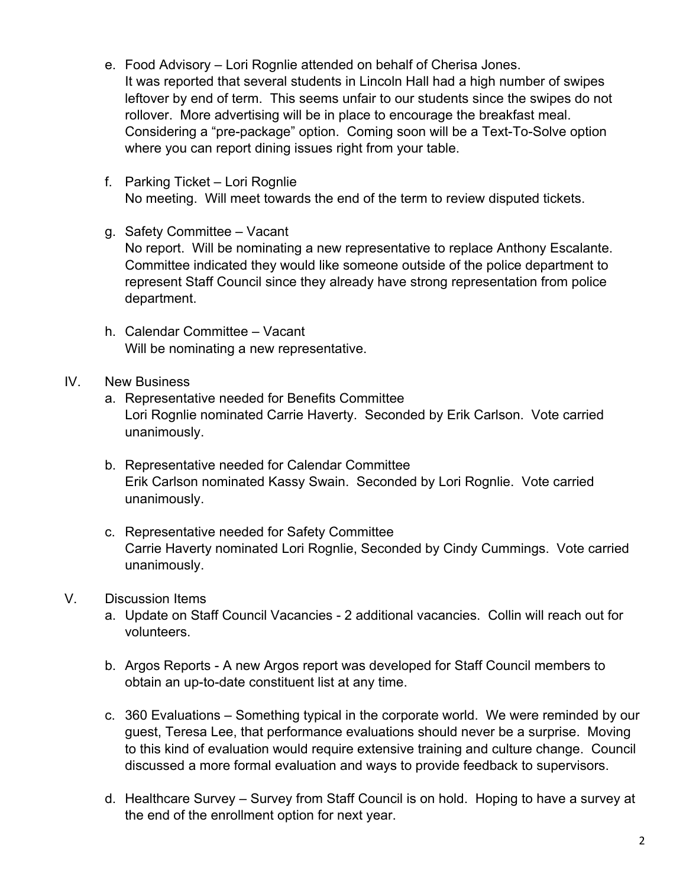- e. Food Advisory Lori Rognlie attended on behalf of Cherisa Jones. It was reported that several students in Lincoln Hall had a high number of swipes leftover by end of term. This seems unfair to our students since the swipes do not rollover. More advertising will be in place to encourage the breakfast meal. Considering a "pre-package" option. Coming soon will be a Text-To-Solve option where you can report dining issues right from your table.
- f. Parking Ticket Lori Rognlie No meeting. Will meet towards the end of the term to review disputed tickets.
- g. Safety Committee Vacant No report. Will be nominating a new representative to replace Anthony Escalante. Committee indicated they would like someone outside of the police department to represent Staff Council since they already have strong representation from police department.
- h. Calendar Committee Vacant Will be nominating a new representative.

### IV. New Business

- a. Representative needed for Benefits Committee Lori Rognlie nominated Carrie Haverty. Seconded by Erik Carlson. Vote carried unanimously.
- b. Representative needed for Calendar Committee Erik Carlson nominated Kassy Swain. Seconded by Lori Rognlie. Vote carried unanimously.
- c. Representative needed for Safety Committee Carrie Haverty nominated Lori Rognlie, Seconded by Cindy Cummings. Vote carried unanimously.

## V. Discussion Items

- a. Update on Staff Council Vacancies 2 additional vacancies. Collin will reach out for volunteers.
- b. Argos Reports A new Argos report was developed for Staff Council members to obtain an up-to-date constituent list at any time.
- c. 360 Evaluations Something typical in the corporate world. We were reminded by our guest, Teresa Lee, that performance evaluations should never be a surprise. Moving to this kind of evaluation would require extensive training and culture change. Council discussed a more formal evaluation and ways to provide feedback to supervisors.
- d. Healthcare Survey Survey from Staff Council is on hold. Hoping to have a survey at the end of the enrollment option for next year.